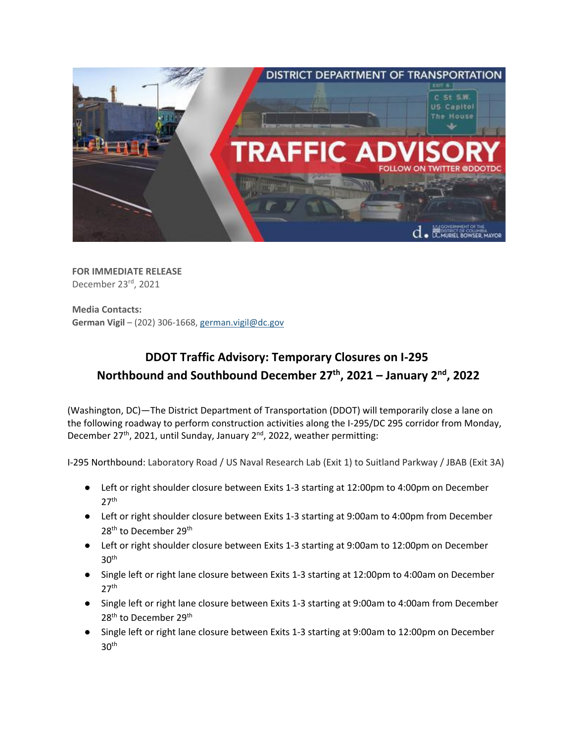

**FOR IMMEDIATE RELEASE** December 23rd, 2021

**Media Contacts: German Vigil** – (202) 306-1668[, german.vigil@dc.gov](mailto:german.vigil@dc.gov)

## **DDOT Traffic Advisory: Temporary Closures on I-295 Northbound and Southbound December 27 th, 2021 – January 2nd , 2022**

(Washington, DC)—The District Department of Transportation (DDOT) will temporarily close a lane on the following roadway to perform construction activities along the I-295/DC 295 corridor from Monday, December 27<sup>th</sup>, 2021, until Sunday, January 2<sup>nd</sup>, 2022, weather permitting:

I-295 Northbound: Laboratory Road / US Naval Research Lab (Exit 1) to Suitland Parkway / JBAB (Exit 3A)

- Left or right shoulder closure between Exits 1-3 starting at 12:00pm to 4:00pm on December  $27<sup>th</sup>$
- Left or right shoulder closure between Exits 1-3 starting at 9:00am to 4:00pm from December 28<sup>th</sup> to December 29<sup>th</sup>
- Left or right shoulder closure between Exits 1-3 starting at 9:00am to 12:00pm on December  $30<sup>th</sup>$
- Single left or right lane closure between Exits 1-3 starting at 12:00pm to 4:00am on December  $27<sup>th</sup>$
- Single left or right lane closure between Exits 1-3 starting at 9:00am to 4:00am from December 28<sup>th</sup> to December 29<sup>th</sup>
- Single left or right lane closure between Exits 1-3 starting at 9:00am to 12:00pm on December  $30<sup>th</sup>$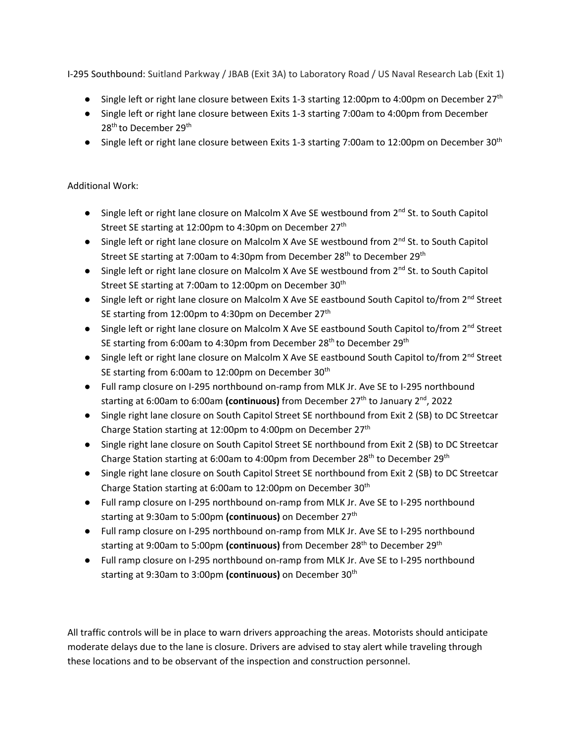I-295 Southbound: Suitland Parkway / JBAB (Exit 3A) to Laboratory Road / US Naval Research Lab (Exit 1)

- Single left or right lane closure between Exits 1-3 starting 12:00pm to 4:00pm on December 27<sup>th</sup>
- Single left or right lane closure between Exits 1-3 starting 7:00am to 4:00pm from December 28<sup>th</sup> to December 29<sup>th</sup>
- Single left or right lane closure between Exits 1-3 starting 7:00am to 12:00pm on December 30<sup>th</sup>

## Additional Work:

- Single left or right lane closure on Malcolm X Ave SE westbound from  $2^{nd}$  St. to South Capitol Street SE starting at 12:00pm to 4:30pm on December 27<sup>th</sup>
- Single left or right lane closure on Malcolm X Ave SE westbound from 2<sup>nd</sup> St. to South Capitol Street SE starting at 7:00am to 4:30pm from December 28<sup>th</sup> to December 29<sup>th</sup>
- $\bullet$  Single left or right lane closure on Malcolm X Ave SE westbound from  $2^{nd}$  St. to South Capitol Street SE starting at 7:00am to 12:00pm on December 30<sup>th</sup>
- Single left or right lane closure on Malcolm X Ave SE eastbound South Capitol to/from 2<sup>nd</sup> Street SE starting from 12:00pm to 4:30pm on December 27<sup>th</sup>
- Single left or right lane closure on Malcolm X Ave SE eastbound South Capitol to/from 2<sup>nd</sup> Street SE starting from 6:00am to 4:30pm from December 28<sup>th</sup> to December 29<sup>th</sup>
- Single left or right lane closure on Malcolm X Ave SE eastbound South Capitol to/from 2<sup>nd</sup> Street SE starting from 6:00am to 12:00pm on December 30<sup>th</sup>
- Full ramp closure on I-295 northbound on-ramp from MLK Jr. Ave SE to I-295 northbound starting at 6:00am to 6:00am **(continuous)** from December 27<sup>th</sup> to January 2<sup>nd</sup>, 2022
- Single right lane closure on South Capitol Street SE northbound from Exit 2 (SB) to DC Streetcar Charge Station starting at 12:00pm to 4:00pm on December 27<sup>th</sup>
- Single right lane closure on South Capitol Street SE northbound from Exit 2 (SB) to DC Streetcar Charge Station starting at 6:00am to 4:00pm from December 28<sup>th</sup> to December 29<sup>th</sup>
- Single right lane closure on South Capitol Street SE northbound from Exit 2 (SB) to DC Streetcar Charge Station starting at 6:00am to 12:00pm on December 30th
- Full ramp closure on I-295 northbound on-ramp from MLK Jr. Ave SE to I-295 northbound starting at 9:30am to 5:00pm **(continuous)** on December 27 th
- Full ramp closure on I-295 northbound on-ramp from MLK Jr. Ave SE to I-295 northbound starting at 9:00am to 5:00pm **(continuous)** from December 28 th to December 29th
- Full ramp closure on I-295 northbound on-ramp from MLK Jr. Ave SE to I-295 northbound starting at 9:30am to 3:00pm **(continuous)** on December 30th

All traffic controls will be in place to warn drivers approaching the areas. Motorists should anticipate moderate delays due to the lane is closure. Drivers are advised to stay alert while traveling through these locations and to be observant of the inspection and construction personnel.